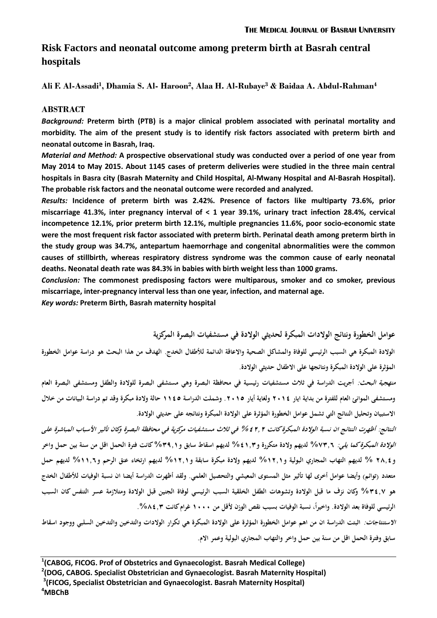# **Risk Factors and neonatal outcome among preterm birth at Basrah central hospitals**

**Ali F. Al-Assadi<sup>1</sup> , Dhamia S. Al- Haroon<sup>2</sup> , Alaa H. Al-Rubaye<sup>3</sup> & Baidaa A. Abdul-Rahman<sup>4</sup>**

## **ABSTRACT**

*Background:* **Preterm birth (PTB) is a major clinical problem associated with perinatal mortality and morbidity. The aim of the present study is to identify risk factors associated with preterm birth and neonatal outcome in Basrah, Iraq.**

*Material and Method:* **A prospective observational study was conducted over a period of one year from May 2014 to May 2015. About 1145 cases of preterm deliveries were studied in the three main central hospitals in Basra city (Basrah Maternity and Child Hospital, Al-Mwany Hospital and Al-Basrah Hospital). The probable risk factors and the neonatal outcome were recorded and analyzed.**

*Results:* **Incidence of preterm birth was 2.42%. Presence of factors like multiparty 73.6%, prior miscarriage 41.3%, inter pregnancy interval of < 1 year 39.1%, urinary tract infection 28.4%, cervical incompetence 12.1%, prior preterm birth 12.1%, multiple pregnancies 11.6%, poor socio-economic state were the most frequent risk factor associated with preterm birth. Perinatal death among preterm birth in the study group was 34.7%, antepartum haemorrhage and congenital abnormalities were the common causes of stillbirth, whereas respiratory distress syndrome was the common cause of early neonatal deaths. Neonatal death rate was 84.3% in babies with birth weight less than 1000 grams.**

*Conclusion:* **The commonest predisposing factors were multiparous, smoker and co smoker, previous miscarriage, inter-pregnancy interval less than one year, infection, and maternal age.**

*Key words:* **Preterm Birth, Basrah maternity hospital** 

**عوامل الخطورة ونتائج الوالدات المبكرة لحديثي الوالدة في مستشفيات البصرة المركزية**

**الوالدة المبكرة هي السبب الرئيسي للوفاة والمشاكل الصحية واالعاقة الدائمة لألطفال الخدج. الهدف من هذا البحث هو دراسة عوامل الخطورة المؤثرة على الوالدة المبكرة ونتائجها على االطفال حديثي الوالدة.**

**منهجية البحث: أجريت الدراسة في ثالث مستشفيات رئيسية في محافظة البصرة وهي مستشفى البصرة للوالدة والطفل ومستشفى البصرة العام ومستشفى الموانئ العام للفترة من بداية ايار 4102 ولغاية أيار .4102 وشملت الدراسة 0022 حالة والدة مبكرة وقد تم دراسة البيانات من خالل االستبيان وتحليل النتائج التي تشمل عوامل الخطو رة المؤثرة على الوالدة المبكرة ونتائجه على حديثي الوالدة.**

**النتائج: أظهرت النتائج ان نسبة الوالدة المبكرة كانت %24,4 في ثالث مستشفيات مركزية في محافظة البصرة وكان تأثير األسباب المباشرة على الوالدة المبكرة كما يلي: %37,6 لديهم والدة متكررة و%20,7 لديهم اسقاط سابق و%7,,0 كانت فترة الحمل اقل من سنة بين حمل واخر و4,,2 % لديهم التهاب المجاري البولية و%04,0 لديهم والدة مبكرة سابقة و%04,0 لديهم ارتخاء عنق الرحم و%00,6 لديهم حمل**  متعدد (توائم) وأيضا عوامل أخرى لها تأثير مثل المستوى المعيشي والتحصيل العلمي. ولقد أظهرت الدراسة أيضا ان نسبة الوفيات للأطفال الخدج **هو %72,3 وكان نزف ما قبل الوالدة وتشوهات الطفل الخلقية السبب الرئيسي لوفاة الجنين قبل الوالدة ومتالزمة عسر التنفس كان السبب ،ً نسبة الوفيات بسبب نقص الوزن ألقل من الرئيسي للوفاة بعد الوالدة. واخيرا 0111 غرام كانت .%,2,7**

**االستنتاجات: اثبتت الدراسة ان من اهم عوامل الخطورة المؤثرة على الوالدة المبكرة هي تكرار الوالدات والتدخين والتدخين السلبي ووجود اسقاط سابق وفترة الحمل اقل من سنة بين حمل واخر والتهاب المجاري البولية وعمر االم.**

 **(CABOG, FICOG. Prof of Obstetrics and Gynaecologist. Basrah Medical College) (DOG, CABOG. Specialist Obstetrician and Gynaecologist. Basrah Maternity Hospital) (FICOG, Specialist Obstetrician and Gynaecologist. Basrah Maternity Hospital) <sup>4</sup>MBChB**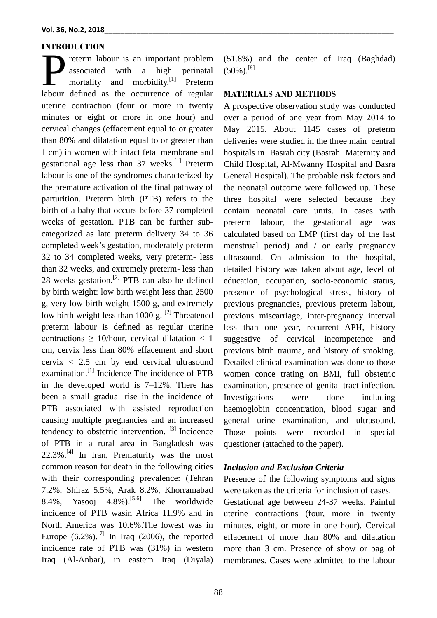#### **INTRODUCTION**

reterm labour is an important problem associated with a high perinatal mortality and morbidity.<sup>[\[1\]](#page-8-0)</sup> Preterm The occurrence of regular and the occurrence of regular and the occurrence of regular and morbidity.<sup>[1]</sup> Preterm labour defined as the occurrence of regular uterine contraction (four or more in twenty minutes or eight or more in one hour) and cervical changes (effacement equal to or greater than 80% and dilatation equal to or greater than 1 cm) in women with intact fetal membrane and gestational age less than 37 weeks.<sup>[\[1\]](#page-8-0)</sup> Preterm labour is one of the syndromes characterized by the premature activation of the final pathway of parturition. Preterm birth (PTB) refers to the birth of a baby that occurs before 37 completed weeks of gestation. PTB can be further subcategorized as late preterm delivery 34 to 36 completed week's gestation, moderately preterm 32 to 34 completed weeks, very preterm- less than 32 weeks, and extremely preterm- less than 28 weeks gestation.<sup>[\[2\]](#page-8-1)</sup> PTB can also be defined by birth weight: low birth weight less than 2500 g, very low birth weight 1500 g, and extremely low birth weight less than 1000 g.  $^{[2]}$  $^{[2]}$  $^{[2]}$  Threatened preterm labour is defined as regular uterine contractions  $\geq$  10/hour, cervical dilatation  $\lt$  1 cm, cervix less than 80% effacement and short cervix  $\langle 2.5 \text{ cm} \rangle$  by end cervical ultrasound examination.<sup>[\[1\]](#page-8-0)</sup> Incidence The incidence of PTB in the developed world is 7–12%. There has been a small gradual rise in the incidence of PTB associated with assisted reproduction causing multiple pregnancies and an increased tendency to obstetric intervention. [\[3\]](#page-8-2) Incidence of PTB in a rural area in Bangladesh was 22.3%. [\[4\]](#page-8-3) In Iran, Prematurity was the most common reason for death in the following cities with their corresponding prevalence: (Tehran 7.2%, Shiraz 5.5%, Arak 8.2%, Khorramabad 8.4%, Yasooj 4.8%).<sup>[\[5,](#page-8-4)[6\]](#page-8-5)</sup> The worldwide incidence of PTB wasin Africa 11.9% and in North America was 10.6%.The lowest was in Europe  $(6.2\%)$ .<sup>[\[7\]](#page-8-6)</sup> In Iraq (2006), the reported incidence rate of PTB was (31%) in western Iraq (Al-Anbar), in eastern Iraq (Diyala)

(51.8%) and the center of Iraq (Baghdad)  $(50\%)$ .[\[8\]](#page-8-7)

#### **MATERIALS AND METHODS**

A prospective observation study was conducted over a period of one year from May 2014 to May 2015. About 1145 cases of preterm deliveries were studied in the three main central hospitals in Basrah city (Basrah Maternity and Child Hospital, Al-Mwanny Hospital and Basra General Hospital). The probable risk factors and the neonatal outcome were followed up. These three hospital were selected because they contain neonatal care units. In cases with preterm labour, the gestational age was calculated based on LMP (first day of the last menstrual period) and / or early pregnancy ultrasound. On admission to the hospital, detailed history was taken about age, level of education, occupation, socio-economic status, presence of psychological stress, history of previous pregnancies, previous preterm labour, previous miscarriage, inter-pregnancy interval less than one year, recurrent APH, history suggestive of cervical incompetence and previous birth trauma, and history of smoking. Detailed clinical examination was done to those women conce trating on BMI, full obstetric examination, presence of genital tract infection. Investigations were done including haemoglobin concentration, blood sugar and general urine examination, and ultrasound. Those points were recorded in special questioner (attached to the paper).

#### *Inclusion and Exclusion Criteria*

Presence of the following symptoms and signs were taken as the criteria for inclusion of cases.

Gestational age between 24-37 weeks. Painful uterine contractions (four, more in twenty minutes, eight, or more in one hour). Cervical effacement of more than 80% and dilatation more than 3 cm. Presence of show or bag of membranes. Cases were admitted to the labour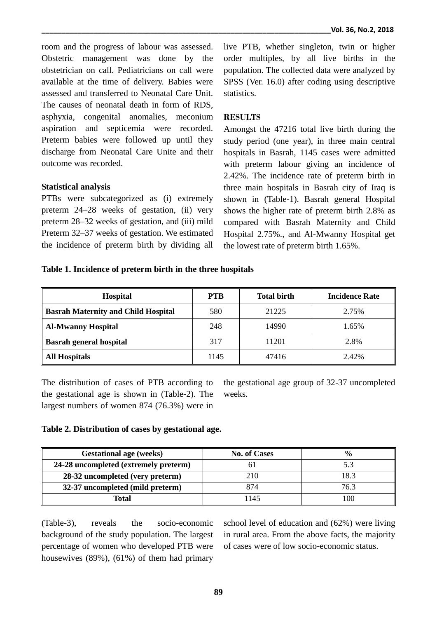room and the progress of labour was assessed. Obstetric management was done by the obstetrician on call. Pediatricians on call were available at the time of delivery. Babies were assessed and transferred to Neonatal Care Unit. The causes of neonatal death in form of RDS, asphyxia, congenital anomalies, meconium aspiration and septicemia were recorded. Preterm babies were followed up until they discharge from Neonatal Care Unite and their outcome was recorded.

## **Statistical analysis**

PTBs were subcategorized as (i) extremely preterm 24–28 weeks of gestation, (ii) very preterm 28–32 weeks of gestation, and (iii) mild Preterm 32–37 weeks of gestation. We estimated the incidence of preterm birth by dividing all live PTB, whether singleton, twin or higher order multiples, by all live births in the population. The collected data were analyzed by SPSS (Ver. 16.0) after coding using descriptive statistics.

## **RESULTS**

Amongst the 47216 total live birth during the study period (one year), in three main central hospitals in Basrah, 1145 cases were admitted with preterm labour giving an incidence of 2.42%. The incidence rate of preterm birth in three main hospitals in Basrah city of Iraq is shown in (Table-1). Basrah general Hospital shows the higher rate of preterm birth 2.8% as compared with Basrah Maternity and Child Hospital 2.75%., and Al-Mwanny Hospital get the lowest rate of preterm birth 1.65%.

## **Table 1. Incidence of preterm birth in the three hospitals**

| <b>Hospital</b>                            | <b>PTB</b> | <b>Total birth</b> | <b>Incidence Rate</b> |
|--------------------------------------------|------------|--------------------|-----------------------|
| <b>Basrah Maternity and Child Hospital</b> | 580        | 21225              | 2.75%                 |
| <b>Al-Mwanny Hospital</b>                  | 248        | 14990              | 1.65%                 |
| <b>Basrah general hospital</b>             | 317        | 11201              | 2.8%                  |
| <b>All Hospitals</b>                       | 1145       | 47416              | 2.42%                 |

The distribution of cases of PTB according to the gestational age is shown in (Table-2). The largest numbers of women 874 (76.3%) were in

the gestational age group of 32-37 uncompleted weeks.

## **Table 2. Distribution of cases by gestational age.**

| <b>Gestational age (weeks)</b>        | <b>No. of Cases</b> | $\frac{0}{0}$ |
|---------------------------------------|---------------------|---------------|
| 24-28 uncompleted (extremely preterm) |                     |               |
| 28-32 uncompleted (very preterm)      | 210                 | 18.3          |
| 32-37 uncompleted (mild preterm)      | 874                 | 76.3          |
| <b>Total</b>                          | 1145                | 100           |

(Table-3), reveals the socio-economic background of the study population. The largest percentage of women who developed PTB were housewives (89%), (61%) of them had primary

school level of education and (62%) were living in rural area. From the above facts, the majority of cases were of low socio-economic status.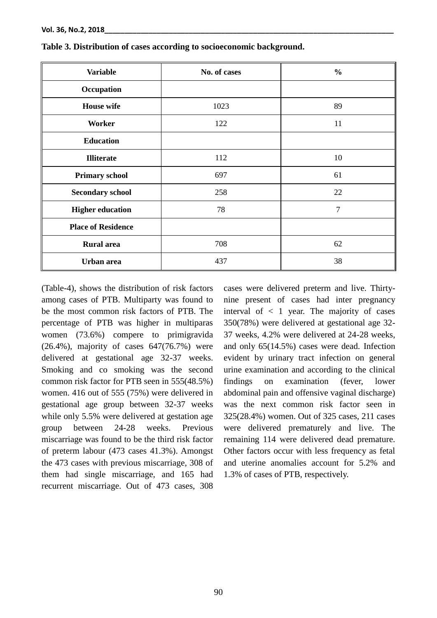| <b>Variable</b>           | No. of cases | $\frac{0}{0}$  |
|---------------------------|--------------|----------------|
| Occupation                |              |                |
| <b>House</b> wife         | 1023         | 89             |
| Worker                    | 122          | 11             |
| <b>Education</b>          |              |                |
| <b>Illiterate</b>         | 112          | 10             |
| <b>Primary school</b>     | 697          | 61             |
| <b>Secondary school</b>   | 258          | 22             |
| <b>Higher education</b>   | 78           | $\overline{7}$ |
| <b>Place of Residence</b> |              |                |
| <b>Rural</b> area         | 708          | 62             |
| Urban area                | 437          | 38             |

**Table 3. Distribution of cases according to socioeconomic background.**

(Table-4), shows the distribution of risk factors among cases of PTB. Multiparty was found to be the most common risk factors of PTB. The percentage of PTB was higher in multiparas women (73.6%) compere to primigravida (26.4%), majority of cases 647(76.7%) were delivered at gestational age 32-37 weeks. Smoking and co smoking was the second common risk factor for PTB seen in 555(48.5%) women. 416 out of 555 (75%) were delivered in gestational age group between 32-37 weeks while only 5.5% were delivered at gestation age group between 24-28 weeks. Previous miscarriage was found to be the third risk factor of preterm labour (473 cases 41.3%). Amongst the 473 cases with previous miscarriage, 308 of them had single miscarriage, and 165 had recurrent miscarriage. Out of 473 cases, 308

cases were delivered preterm and live. Thirtynine present of cases had inter pregnancy interval of  $\langle 1 \rangle$  year. The majority of cases 350(78%) were delivered at gestational age 32- 37 weeks, 4.2% were delivered at 24-28 weeks, and only 65(14.5%) cases were dead. Infection evident by urinary tract infection on general urine examination and according to the clinical findings on examination (fever, lower abdominal pain and offensive vaginal discharge) was the next common risk factor seen in 325(28.4%) women. Out of 325 cases, 211 cases were delivered prematurely and live. The remaining 114 were delivered dead premature. Other factors occur with less frequency as fetal and uterine anomalies account for 5.2% and 1.3% of cases of PTB, respectively.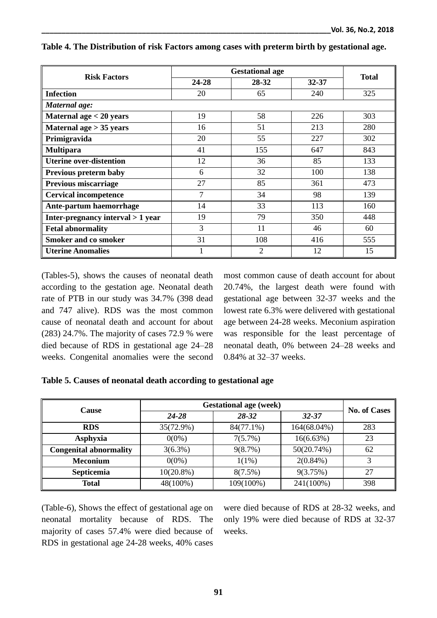| <b>Risk Factors</b>                 | <b>Gestational age</b> |       |       | <b>Total</b> |
|-------------------------------------|------------------------|-------|-------|--------------|
|                                     | 24-28                  | 28-32 | 32-37 |              |
| <b>Infection</b>                    | 20                     | 65    | 240   | 325          |
| Maternal age:                       |                        |       |       |              |
| Maternal age $<$ 20 years           | 19                     | 58    | 226   | 303          |
| Maternal age $> 35$ years           | 16                     | 51    | 213   | 280          |
| Primigravida                        | 20                     | 55    | 227   | 302          |
| <b>Multipara</b>                    | 41                     | 155   | 647   | 843          |
| <b>Uterine over-distention</b>      | 12                     | 36    | 85    | 133          |
| Previous preterm baby               | 6                      | 32    | 100   | 138          |
| <b>Previous miscarriage</b>         | 27                     | 85    | 361   | 473          |
| <b>Cervical incompetence</b>        | 7                      | 34    | 98    | 139          |
| Ante-partum haemorrhage             | 14                     | 33    | 113   | 160          |
| Inter-pregnancy interval $> 1$ year | 19                     | 79    | 350   | 448          |
| <b>Fetal abnormality</b>            | 3                      | 11    | 46    | 60           |
| <b>Smoker and co smoker</b>         | 31                     | 108   | 416   | 555          |
| <b>Uterine Anomalies</b>            |                        | 2     | 12    | 15           |

## **Table 4. The Distribution of risk Factors among cases with preterm birth by gestational age.**

(Tables-5), shows the causes of neonatal death according to the gestation age. Neonatal death rate of PTB in our study was 34.7% (398 dead and 747 alive). RDS was the most common cause of neonatal death and account for about (283) 24.7%. The majority of cases 72.9 % were died because of RDS in gestational age 24–28 weeks. Congenital anomalies were the second

most common cause of death account for about 20.74%, the largest death were found with gestational age between 32-37 weeks and the lowest rate 6.3% were delivered with gestational age between 24-28 weeks. Meconium aspiration was responsible for the least percentage of neonatal death, 0% between 24–28 weeks and 0.84% at 32–37 weeks.

## **Table 5. Causes of neonatal death according to gestational age**

| <b>Cause</b>                  | <b>Gestational age (week)</b> | <b>No. of Cases</b> |             |     |
|-------------------------------|-------------------------------|---------------------|-------------|-----|
|                               | $24 - 28$                     | $28 - 32$           | $32 - 37$   |     |
| <b>RDS</b>                    | 35(72.9%)                     | 84(77.1%)           | 164(68.04%) | 283 |
| Asphyxia                      | $0(0\%)$                      | $7(5.7\%)$          | 16(6.63%)   | 23  |
| <b>Congenital abnormality</b> | $3(6.3\%)$                    | 9(8.7%)             | 50(20.74%)  | 62  |
| <b>Meconium</b>               | $0(0\%)$                      | $1(1\%)$            | $2(0.84\%)$ |     |
| Septicemia                    | $10(20.8\%)$                  | $8(7.5\%)$          | 9(3.75%)    | 27  |
| <b>Total</b>                  | 48(100%)                      | 109(100%)           | 241(100%)   | 398 |

(Table-6), Shows the effect of gestational age on neonatal mortality because of RDS. The majority of cases 57.4% were died because of RDS in gestational age 24-28 weeks, 40% cases were died because of RDS at 28-32 weeks, and only 19% were died because of RDS at 32-37 weeks.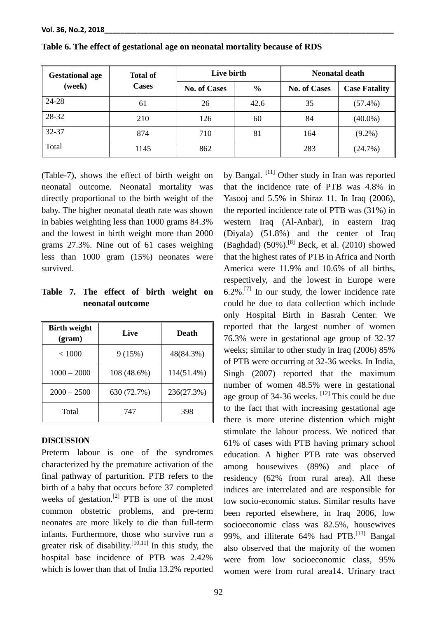| <b>Gestational age</b> | <b>Total of</b> | Live birth          |               | <b>Neonatal death</b> |                      |
|------------------------|-----------------|---------------------|---------------|-----------------------|----------------------|
| (week)                 | <b>Cases</b>    | <b>No. of Cases</b> | $\frac{0}{0}$ | <b>No. of Cases</b>   | <b>Case Fatality</b> |
| 24-28                  | 61              | 26                  | 42.6          | 35                    | $(57.4\%)$           |
| 28-32                  | 210             | 126                 | 60            | 84                    | $(40.0\%)$           |
| 32-37                  | 874             | 710                 | 81            | 164                   | $(9.2\%)$            |
| Total                  | 1145            | 862                 |               | 283                   | (24.7%)              |

**Table 6. The effect of gestational age on neonatal mortality because of RDS**

(Table-7), shows the effect of birth weight on neonatal outcome. Neonatal mortality was directly proportional to the birth weight of the baby. The higher neonatal death rate was shown in babies weighting less than 1000 grams 84.3% and the lowest in birth weight more than 2000 grams 27.3%. Nine out of 61 cases weighing less than 1000 gram (15%) neonates were survived.

# **Table 7. The effect of birth weight on neonatal outcome**

| <b>Birth weight</b><br>(gram) | Live        | Death      |
|-------------------------------|-------------|------------|
| < 1000                        | 9(15%)      | 48(84.3%)  |
| $1000 - 2000$                 | 108 (48.6%) | 114(51.4%) |
| $2000 - 2500$                 | 630 (72.7%) | 236(27.3%) |
| Total                         | 747         | 398        |

## **DISCUSSION**

Preterm labour is one of the syndromes characterized by the premature activation of the final pathway of parturition. PTB refers to the birth of a baby that occurs before 37 completed weeks of gestation.<sup>[\[2\]](#page-8-1)</sup> PTB is one of the most common obstetric problems, and pre-term neonates are more likely to die than full-term infants. Furthermore, those who survive run a greater risk of disability.  $[10,11]$  In this study, the hospital base incidence of PTB was 2.42% which is lower than that of India 13.2% reported

by Bangal. <sup>[\[11\]](#page-8-9)</sup> Other study in Iran was reported that the incidence rate of PTB was 4.8% in Yasooj and 5.5% in Shiraz 11. In Iraq (2006), the reported incidence rate of PTB was (31%) in western Iraq (Al-Anbar), in eastern Iraq (Diyala) (51.8%) and the center of Iraq (Baghdad)  $(50\%)$ .<sup>[8]</sup> Beck, et al.  $(2010)$  showed that the highest rates of PTB in Africa and North America were 11.9% and 10.6% of all births, respectively, and the lowest in Europe were  $6.2\%$ .<sup>[\[7\]](#page-8-6)</sup> In our study, the lower incidence rate could be due to data collection which include only Hospital Birth in Basrah Center. We reported that the largest number of women 76.3% were in gestational age group of 32-37 weeks; similar to other study in Iraq (2006) 85% of PTB were occurring at 32-36 weeks. In India, Singh (2007) reported that the maximum number of women 48.5% were in gestational age group of  $34-36$  weeks. <sup>[12]</sup> This could be due to the fact that with increasing gestational age there is more uterine distention which might stimulate the labour process. We noticed that 61% of cases with PTB having primary school education. A higher PTB rate was observed among housewives (89%) and place of residency (62% from rural area). All these indices are interrelated and are responsible for low socio-economic status. Similar results have been reported elsewhere, in Iraq 2006, low socioeconomic class was 82.5%, housewives 99%, and illiterate 64% had PTB.<sup>[\[13\]](#page-8-10)</sup> Bangal also observed that the majority of the women were from low socioeconomic class, 95% women were from rural area14. Urinary tract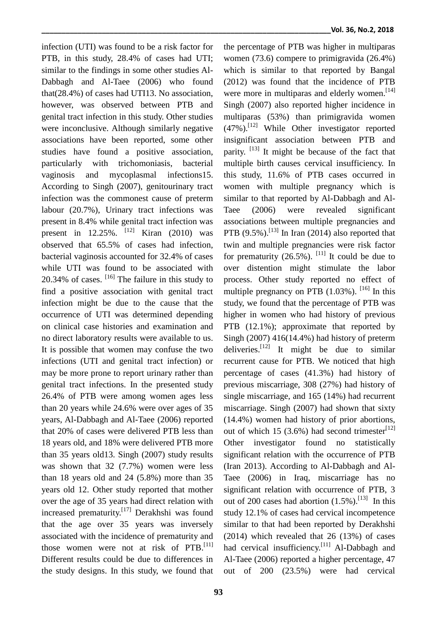infection (UTI) was found to be a risk factor for PTB, in this study, 28.4% of cases had UTI; similar to the findings in some other studies Al-Dabbagh and Al-Taee (2006) who found that(28.4%) of cases had UTI13. No association, however, was observed between PTB and genital tract infection in this study. Other studies were inconclusive. Although similarly negative associations have been reported, some other studies have found a positive association, particularly with trichomoniasis, bacterial vaginosis and mycoplasmal infections15. According to Singh (2007), genitourinary tract infection was the commonest cause of preterm labour (20.7%), Urinary tract infections was present in 8.4% while genital tract infection was present in  $12.25\%$ . <sup>[12]</sup> Kiran (2010) was observed that 65.5% of cases had infection, bacterial vaginosis accounted for 32.4% of cases while UTI was found to be associated with  $20.34\%$  of cases.  $\left[16\right]$  The failure in this study to find a positive association with genital tract infection might be due to the cause that the occurrence of UTI was determined depending on clinical case histories and examination and no direct laboratory results were available to us. It is possible that women may confuse the two infections (UTI and genital tract infection) or may be more prone to report urinary rather than genital tract infections. In the presented study 26.4% of PTB were among women ages less than 20 years while 24.6% were over ages of 35 years, Al-Dabbagh and Al-Taee (2006) reported that 20% of cases were delivered PTB less than 18 years old, and 18% were delivered PTB more than 35 years old13. Singh (2007) study results was shown that 32 (7.7%) women were less than 18 years old and 24 (5.8%) more than 35 years old 12. Other study reported that mother over the age of 35 years had direct relation with increased prematurity.<sup>[17]</sup> Derakhshi was found that the age over 35 years was inversely associated with the incidence of prematurity and those women were not at risk of  $PTB$ .<sup>[11]</sup> Different results could be due to differences in the study designs. In this study, we found that

the percentage of PTB was higher in multiparas women (73.6) compere to primigravida (26.4%) which is similar to that reported by Bangal (2012) was found that the incidence of PTB were more in multiparas and elderly women.<sup>[14]</sup> Singh (2007) also reported higher incidence in multiparas (53%) than primigravida women (47%). [\[12\]](#page-8-11) While Other investigator reported insignificant association between PTB and parity.  $[13]$  It might be because of the fact that multiple birth causes cervical insufficiency. In this study, 11.6% of PTB cases occurred in women with multiple pregnancy which is similar to that reported by Al-Dabbagh and Al-Taee (2006) were revealed significant associations between multiple pregnancies and PTB  $(9.5\%)$ .<sup>[\[13\]](#page-8-10)</sup> In Iran (2014) also reported that twin and multiple pregnancies were risk factor for prematurity  $(26.5\%)$ . <sup>[\[11\]](#page-8-9)</sup> It could be due to over distention might stimulate the labor process. Other study reported no effect of multiple pregnancy on PTB  $(1.03\%)$ . <sup>[\[16\]](#page-9-0)</sup> In this study, we found that the percentage of PTB was higher in women who had history of previous PTB (12.1%); approximate that reported by Singh (2007) 416(14.4%) had history of preterm deliveries.<sup>[\[12\]](#page-8-11)</sup> It might be due to similar recurrent cause for PTB. We noticed that high percentage of cases (41.3%) had history of previous miscarriage, 308 (27%) had history of single miscarriage, and 165 (14%) had recurrent miscarriage. Singh (2007) had shown that sixty (14.4%) women had history of prior abortions, out of which 15 (3.6%) had second trimester<sup>[\[12\]](#page-8-11)</sup> Other investigator found no statistically significant relation with the occurrence of PTB (Iran 2013). According to Al-Dabbagh and Al-Taee (2006) in Iraq, miscarriage has no significant relation with occurrence of PTB, 3 out of 200 cases had abortion  $(1.5\%)$ .<sup>[\[13\]](#page-8-10)</sup> In this study 12.1% of cases had cervical incompetence similar to that had been reported by Derakhshi (2014) which revealed that 26 (13%) of cases had cervical insufficiency.<sup>[\[11\]](#page-8-9)</sup> Al-Dabbagh and Al-Taee (2006) reported a higher percentage, 47 out of 200 (23.5%) were had cervical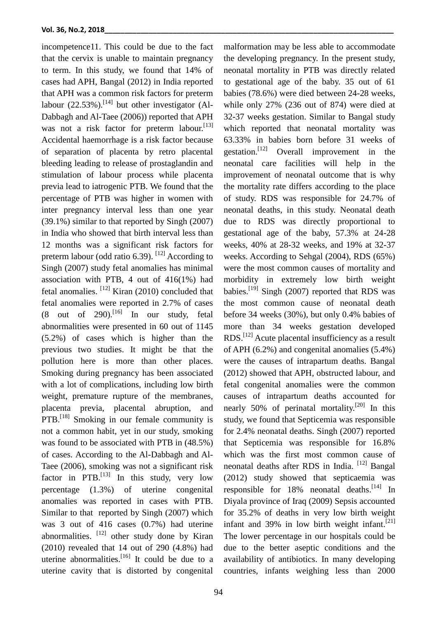incompetence11. This could be due to the fact that the cervix is unable to maintain pregnancy to term. In this study, we found that 14% of cases had APH, Bangal (2012) in India reported that APH was a common risk factors for preterm labour  $(22.53\%)$ .<sup>[\[14\]](#page-8-12)</sup> but other investigator (Al-Dabbagh and Al-Taee (2006)) reported that APH was not a risk factor for preterm labour.<sup>[\[13\]](#page-8-10)</sup> Accidental haemorrhage is a risk factor because of separation of placenta by retro placental bleeding leading to release of prostaglandin and stimulation of labour process while placenta previa lead to iatrogenic PTB. We found that the percentage of PTB was higher in women with inter pregnancy interval less than one year (39.1%) similar to that reported by Singh (2007) in India who showed that birth interval less than 12 months was a significant risk factors for preterm labour (odd ratio 6.39).  $^{[12]}$  $^{[12]}$  $^{[12]}$  According to Singh (2007) study fetal anomalies has minimal association with PTB, 4 out of 416(1%) had fetal anomalies.  $[12]$  Kiran (2010) concluded that fetal anomalies were reported in 2.7% of cases  $(8$  out of 290).<sup>[\[16\]](#page-9-0)</sup> In our study, fetal abnormalities were presented in 60 out of 1145 (5.2%) of cases which is higher than the previous two studies. It might be that the pollution here is more than other places. Smoking during pregnancy has been associated with a lot of complications, including low birth weight, premature rupture of the membranes, placenta previa, placental abruption, and PTB.<sup>[\[18\]](#page-9-1)</sup> Smoking in our female community is not a common habit, yet in our study, smoking was found to be associated with PTB in (48.5%) of cases. According to the Al-Dabbagh and Al-Taee (2006), smoking was not a significant risk factor in PTB. $^{[13]}$  $^{[13]}$  $^{[13]}$  In this study, very low percentage (1.3%) of uterine congenital anomalies was reported in cases with PTB. Similar to that reported by Singh (2007) which was 3 out of 416 cases (0.7%) had uterine abnormalities.  $[12]$  other study done by Kiran (2010) revealed that 14 out of 290 (4.8%) had uterine abnormalities.<sup>[\[16\]](#page-9-0)</sup> It could be due to a uterine cavity that is distorted by congenital

malformation may be less able to accommodate the developing pregnancy. In the present study, neonatal mortality in PTB was directly related to gestational age of the baby. 35 out of 61 babies (78.6%) were died between 24-28 weeks, while only 27% (236 out of 874) were died at 32-37 weeks gestation. Similar to Bangal study which reported that neonatal mortality was 63.33% in babies born before 31 weeks of gestation.<sup>[\[12\]](#page-8-11)</sup> Overall improvement in the neonatal care facilities will help in the improvement of neonatal outcome that is why the mortality rate differs according to the place of study. RDS was responsible for 24.7% of neonatal deaths, in this study. Neonatal death due to RDS was directly proportional to gestational age of the baby, 57.3% at 24-28 weeks, 40% at 28-32 weeks, and 19% at 32-37 weeks. According to Sehgal (2004), RDS (65%) were the most common causes of mortality and morbidity in extremely low birth weight babies.<sup>[19]</sup> Singh (2007) reported that RDS was the most common cause of neonatal death before 34 weeks (30%), but only 0.4% babies of more than 34 weeks gestation developed  $RDS$ <sup>[\[12\]](#page-8-11)</sup> Acute placental insufficiency as a result of APH (6.2%) and congenital anomalies (5.4%) were the causes of intrapartum deaths. Bangal (2012) showed that APH, obstructed labour, and fetal congenital anomalies were the common causes of intrapartum deaths accounted for nearly 50% of perinatal mortality.<sup>[\[20\]](#page-9-2)</sup> In this study, we found that Septicemia was responsible for 2.4% neonatal deaths. Singh (2007) reported that Septicemia was responsible for 16.8% which was the first most common cause of neonatal deaths after RDS in India. [\[12\]](#page-8-11) Bangal (2012) study showed that septicaemia was responsible for 18% neonatal deaths.<sup>[\[14\]](#page-8-12)</sup> In Diyala province of Iraq (2009) Sepsis accounted for 35.2% of deaths in very low birth weight infant and 39% in low birth weight infant.<sup>[\[21\]](#page-9-3)</sup> The lower percentage in our hospitals could be due to the better aseptic conditions and the availability of antibiotics. In many developing countries, infants weighing less than 2000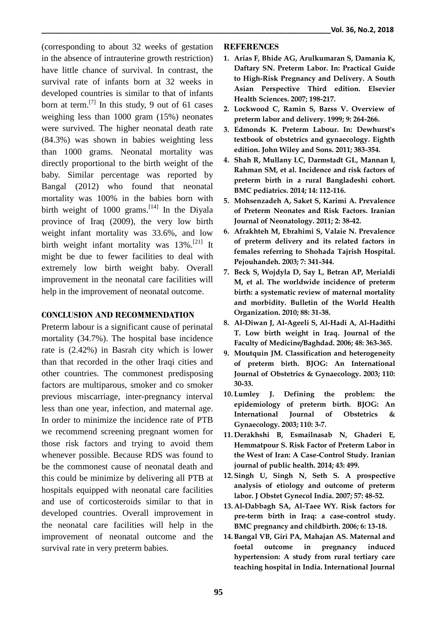(corresponding to about 32 weeks of gestation in the absence of intrauterine growth restriction) have little chance of survival. In contrast, the survival rate of infants born at 32 weeks in developed countries is similar to that of infants born at term.<sup>[7]</sup> In this study, 9 out of 61 cases weighing less than 1000 gram (15%) neonates were survived. The higher neonatal death rate (84.3%) was shown in babies weighting less than 1000 grams. Neonatal mortality was directly proportional to the birth weight of the baby. Similar percentage was reported by Bangal (2012) who found that neonatal mortality was 100% in the babies born with birth weight of 1000 grams.<sup>[\[14\]](#page-8-12)</sup> In the Diyala province of Iraq (2009), the very low birth weight infant mortality was 33.6%, and low birth weight infant mortality was 13%.<sup>[\[21\]](#page-9-3)</sup> It might be due to fewer facilities to deal with extremely low birth weight baby. Overall improvement in the neonatal care facilities will help in the improvement of neonatal outcome.

## **CONCLUSION AND RECOMMENDATION**

Preterm labour is a significant cause of perinatal mortality (34.7%). The hospital base incidence rate is (2.42%) in Basrah city which is lower than that recorded in the other Iraqi cities and other countries. The commonest predisposing factors are multiparous, smoker and co smoker previous miscarriage, inter-pregnancy interval less than one year, infection, and maternal age. In order to minimize the incidence rate of PTB we recommend screening pregnant women for those risk factors and trying to avoid them whenever possible. Because RDS was found to be the commonest cause of neonatal death and this could be minimize by delivering all PTB at hospitals equipped with neonatal care facilities and use of corticosteroids similar to that in developed countries. Overall improvement in the neonatal care facilities will help in the improvement of neonatal outcome and the survival rate in very preterm babies.

# **REFERENCES**

- <span id="page-8-0"></span>**1. Arias F, Bhide AG, Arulkumaran S, Damania K, Daftary SN. Preterm Labor. In: Practical Guide to High-Risk Pregnancy and Delivery. A South Asian Perspective Third edition. Elsevier Health Sciences. 2007; 198-217.**
- <span id="page-8-1"></span>**2. Lockwood C, Ramin S, Barss V. Overview of preterm labor and delivery. 1999; 9: 264-266.**
- <span id="page-8-2"></span>**3. Edmonds K. Preterm Labour. In: Dewhurst's textbook of obstetrics and gynaecology. Eighth edition. John Wiley and Sons. 2011; 383-354.**
- <span id="page-8-3"></span>**4. Shah R, Mullany LC, Darmstadt GL, Mannan I, Rahman SM, et al. Incidence and risk factors of preterm birth in a rural Bangladeshi cohort. BMC pediatrics. 2014; 14: 112-116.**
- <span id="page-8-4"></span>**5. Mohsenzadeh A, Saket S, Karimi A. Prevalence of Preterm Neonates and Risk Factors. Iranian Journal of Neonatology. 2011; 2: 38-42.**
- <span id="page-8-5"></span>**6. Afrakhteh M, Ebrahimi S, Valaie N. Prevalence of preterm delivery and its related factors in females referring to Shohada Tajrish Hospital. Pejouhandeh. 2003; 7: 341-344.**
- <span id="page-8-6"></span>**7. Beck S, Wojdyla D, Say L, Betran AP, Merialdi M, et al. The worldwide incidence of preterm birth: a systematic review of maternal mortality and morbidity. Bulletin of the World Health Organization. 2010; 88: 31-38.**
- <span id="page-8-7"></span>**8. Al-Diwan J, Al-Ageeli S, Al-Hadi A, Al-Hadithi T. Low birth weight in Iraq. Journal of the Faculty of Medicine/Baghdad. 2006; 48: 363-365.**
- **9. Moutquin JM. Classification and heterogeneity of preterm birth. BJOG: An International Journal of Obstetrics & Gynaecology. 2003; 110: 30-33.**
- <span id="page-8-8"></span>**10. Lumley J. Defining the problem: the epidemiology of preterm birth. BJOG: An International Journal of Obstetrics & Gynaecology. 2003; 110: 3-7.**
- <span id="page-8-9"></span>**11. Derakhshi B, Esmailnasab N, Ghaderi E, Hemmatpour S. Risk Factor of Preterm Labor in the West of Iran: A Case-Control Study. Iranian journal of public health. 2014; 43: 499.**
- <span id="page-8-11"></span>**12. Singh U, Singh N, Seth S. A prospective analysis of etiology and outcome of preterm labor. J Obstet Gynecol India. 2007; 57: 48-52.**
- <span id="page-8-10"></span>**13. Al-Dabbagh SA, Al-Taee WY. Risk factors for pre-term birth in Iraq: a case-control study. BMC pregnancy and childbirth. 2006; 6: 13-18.**
- <span id="page-8-12"></span>**14.Bangal VB, Giri PA, Mahajan AS. Maternal and foetal outcome in pregnancy induced hypertension: A study from rural tertiary care teaching hospital in India. International Journal**